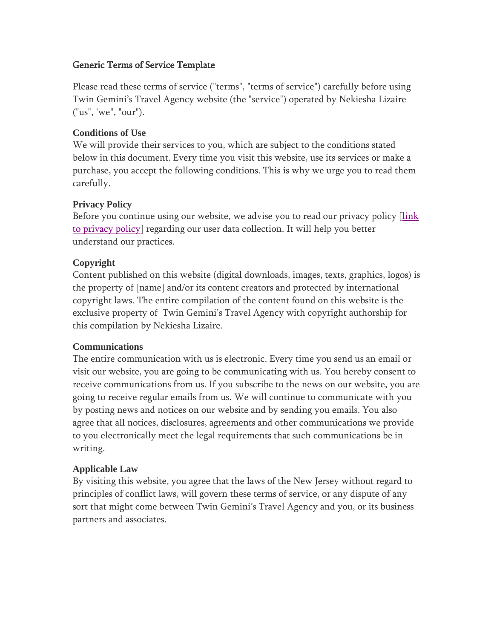## Generic Terms of Service Template

Please read these terms of service ("terms", "terms of service") carefully before using Twin Gemini's Travel Agency website (the "service") operated by Nekiesha Lizaire ("us", 'we", "our").

# **Conditions of Use**

We will provide their services to you, which are subject to the conditions stated below in this document. Every time you visit this website, use its services or make a purchase, you accept the following conditions. This is why we urge you to read them carefully.

## **Privacy Policy**

Before you continue using our website, we advise you to read our privacy policy [link] [to privacy policy\]](file:///C:/Users/wayba/Downloads/TGT%20Website%20Privacy%20Policy.pdf) regarding our user data collection. It will help you better understand our practices.

## **Copyright**

Content published on this website (digital downloads, images, texts, graphics, logos) is the property of [name] and/or its content creators and protected by international copyright laws. The entire compilation of the content found on this website is the exclusive property of Twin Gemini's Travel Agency with copyright authorship for this compilation by Nekiesha Lizaire.

### **Communications**

The entire communication with us is electronic. Every time you send us an email or visit our website, you are going to be communicating with us. You hereby consent to receive communications from us. If you subscribe to the news on our website, you are going to receive regular emails from us. We will continue to communicate with you by posting news and notices on our website and by sending you emails. You also agree that all notices, disclosures, agreements and other communications we provide to you electronically meet the legal requirements that such communications be in writing.

# **Applicable Law**

By visiting this website, you agree that the laws of the New Jersey without regard to principles of conflict laws, will govern these terms of service, or any dispute of any sort that might come between Twin Gemini's Travel Agency and you, or its business partners and associates.